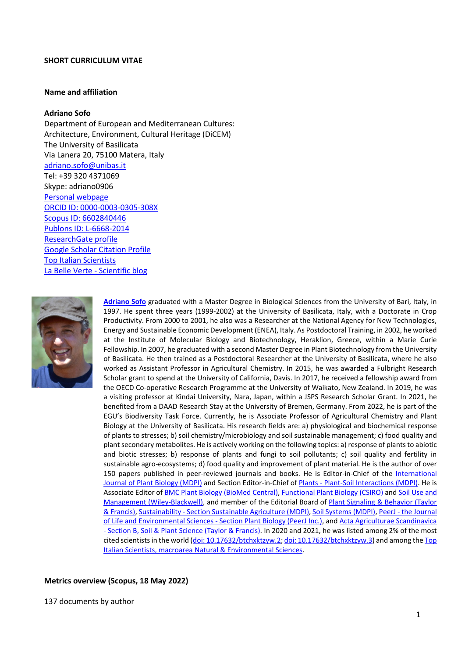#### **SHORT CURRICULUM VITAE**

#### **Name and affiliation**

### **Adriano Sofo**

Department of European and Mediterranean Cultures: Architecture, Environment, Cultural Heritage (DiCEM) The University of Basilicata Via Lanera 20, 75100 Matera, Italy [adriano.sofo@unibas.it](mailto:Adriano.sofo@unibas.it) Tel: +39 320 4371069 Skype: adriano0906 [Personal webpage](http://service.unibas.it/utenti/sofo/home-eng.htm) [ORCID ID: 0000-0003-0305-308X](http://orcid.org/0000-0003-0305-308X) [Scopus ID: 6602840446](http://www.scopus.com/authid/detail.uri?authorId=6602840446) [Publons ID: L-6668-2014](http://www.researcherid.com/rid/L-6668-2014) [ResearchGate profile](https://www.researchgate.net/profile/Adriano_Sofo) [Google Scholar Citation Profile](http://scholar.google.it/citations?user=BYC9328AAAAJ&hl=it) [Top Italian Scientists](http://www.topitalianscientists.org/top-italian-scientists/Adriano%20Sofo) [La Belle Verte -](http://horty.altervista.org/blog/) Scientific blog



**[Adriano Sofo](http://service.unibas.it/utenti/sofo/home-eng.htm)** graduated with a Master Degree in Biological Sciences from the University of Bari, Italy, in 1997. He spent three years (1999-2002) at the University of Basilicata, Italy, with a Doctorate in Crop Productivity. From 2000 to 2001, he also was a Researcher at the National Agency for New Technologies, Energy and Sustainable Economic Development (ENEA), Italy. As Postdoctoral Training, in 2002, he worked at the Institute of Molecular Biology and Biotechnology, Heraklion, Greece, within a Marie Curie Fellowship. In 2007, he graduated with a second Master Degree in Plant Biotechnology from the University of Basilicata. He then trained as a Postdoctoral Researcher at the University of Basilicata, where he also worked as Assistant Professor in Agricultural Chemistry. In 2015, he was awarded a Fulbright Research Scholar grant to spend at the University of California, Davis. In 2017, he received a fellowship award from the OECD Co-operative Research Programme at the University of Waikato, New Zealand. In 2019, he was a visiting professor at Kindai University, Nara, Japan, within a JSPS Research Scholar Grant. In 2021, he benefited from a DAAD Research Stay at the University of Bremen, Germany. From 2022, he is part of the EGU's Biodiversity Task Force. Currently, he is Associate Professor of Agricultural Chemistry and Plant Biology at the University of Basilicata. His research fields are: a) physiological and biochemical response of plants to stresses; b) soil chemistry/microbiology and soil sustainable management; c) food quality and plant secondary metabolites. He is actively working on the following topics: a) response of plants to abiotic and biotic stresses; b) response of plants and fungi to soil pollutants; c) soil quality and fertility in sustainable agro-ecosystems; d) food quality and improvement of plant material. He is the author of over 150 papers published in peer-reviewed journals and books. He is Editor-in-Chief of the [International](https://www.mdpi.com/journal/ijpb)  [Journal of Plant Biology \(MDPI\)](https://www.mdpi.com/journal/ijpb) and Section Editor-in-Chief of Plants - [Plant-Soil Interactions \(MDPI\).](https://www.mdpi.com/journal/plants/sections/plant-soil-interactions) He is Associate Editor of **BMC Plant Biology (BioMed Central)**, [Functional Plant Biology \(CSIRO\)](https://www.publish.csiro.au/FP) and Soil Use and [Management \(Wiley-Blackwell\),](https://onlinelibrary.wiley.com/journal/14752743) and member of the Editorial Board of [Plant Signaling & Behavior \(Taylor](https://www.tandfonline.com/toc/kpsb20/current)  [& Francis\),](https://www.tandfonline.com/toc/kpsb20/current) Sustainability - [Section Sustainable Agriculture](https://www.mdpi.com/journal/sustainability/sections/agriculture_food_and_wildlife) (MDPI)[, Soil Systems \(MDPI\),](https://www.mdpi.com/journal/soilsystems) PeerJ - [the Journal](https://peerj.com/sections/plant-biology/)  [of Life and Environmental Sciences -](https://peerj.com/sections/plant-biology/) Section Plant Biology (PeerJ Inc.), and [Acta Agriculturae Scandinavica](https://www.tandfonline.com/journals/sagb20)  - [Section B, Soil & Plant Science \(Taylor & Francis\).](https://www.tandfonline.com/journals/sagb20) In 2020 and 2021, he was listed among 2% of the most cited scientists in the world [\(doi: 10.17632/btchxktzyw.2;](https://doi.org/10.17632/btchxktzyw.2) [doi: 10.17632/btchxktzyw.3\)](https://doi.org/10.17632/btchxktzyw.3) and among the Top [Italian Scientists, macroarea Natural & Environmental Sciences.](https://topitalianscientists.org/tis/49055/Adriano_Sofo_-_Top_Italian_Scientist_in_Natural_&_Environmental_Sciences)

## **Metrics overview (Scopus, 18 May 2022)**

137 documents by author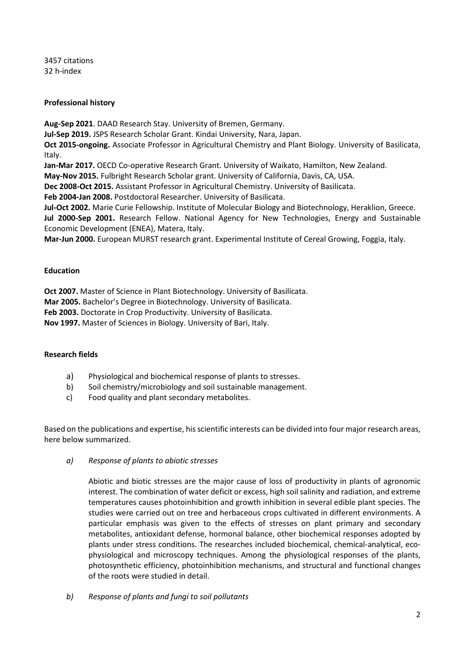3457 citations 32 h-index

## **Professional history**

**Aug-Sep 2021**. DAAD Research Stay. University of Bremen, Germany.

**Jul-Sep 2019.** JSPS Research Scholar Grant. Kindai University, Nara, Japan.

**Oct 2015-ongoing.** Associate Professor in Agricultural Chemistry and Plant Biology. University of Basilicata, Italy.

**Jan-Mar 2017.** OECD Co-operative Research Grant. University of Waikato, Hamilton, New Zealand.

**May-Nov 2015.** Fulbright Research Scholar grant. University of California, Davis, CA, USA.

**Dec 2008-Oct 2015.** Assistant Professor in Agricultural Chemistry. University of Basilicata.

**Feb 2004-Jan 2008.** Postdoctoral Researcher. University of Basilicata.

**Jul-Oct 2002.** Marie Curie Fellowship. Institute of Molecular Biology and Biotechnology, Heraklion, Greece. **Jul 2000-Sep 2001.** Research Fellow. National Agency for New Technologies, Energy and Sustainable Economic Development (ENEA), Matera, Italy.

**Mar-Jun 2000.** European MURST research grant. Experimental Institute of Cereal Growing, Foggia, Italy.

# **Education**

**Oct 2007.** Master of Science in Plant Biotechnology. University of Basilicata.

**Mar 2005.** Bachelor's Degree in Biotechnology. University of Basilicata.

**Feb 2003.** Doctorate in Crop Productivity. University of Basilicata.

**Nov 1997.** Master of Sciences in Biology. University of Bari, Italy.

# **Research fields**

- a) Physiological and biochemical response of plants to stresses.
- b) Soil chemistry/microbiology and soil sustainable management.
- c) Food quality and plant secondary metabolites.

Based on the publications and expertise, hisscientific interests can be divided into four major research areas, here below summarized.

*a) Response of plants to abiotic stresses*

Abiotic and biotic stresses are the major cause of loss of productivity in plants of agronomic interest. The combination of water deficit or excess, high soil salinity and radiation, and extreme temperatures causes photoinhibition and growth inhibition in several edible plant species. The studies were carried out on tree and herbaceous crops cultivated in different environments. A particular emphasis was given to the effects of stresses on plant primary and secondary metabolites, antioxidant defense, hormonal balance, other biochemical responses adopted by plants under stress conditions. The researches included biochemical, chemical-analytical, ecophysiological and microscopy techniques. Among the physiological responses of the plants, photosynthetic efficiency, photoinhibition mechanisms, and structural and functional changes of the roots were studied in detail.

*b) Response of plants and fungi to soil pollutants*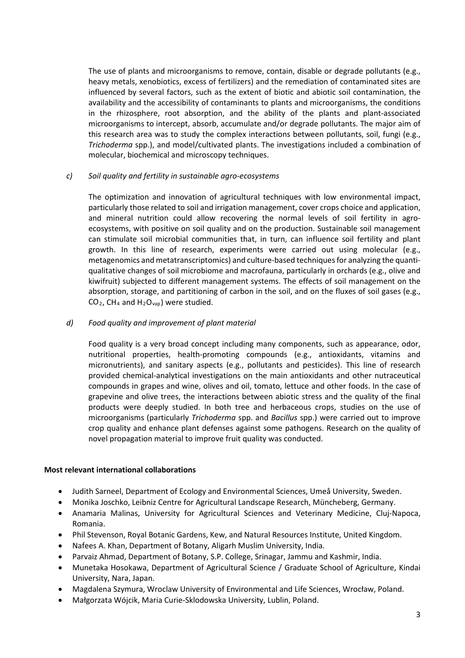The use of plants and microorganisms to remove, contain, disable or degrade pollutants (e.g., heavy metals, xenobiotics, excess of fertilizers) and the remediation of contaminated sites are influenced by several factors, such as the extent of biotic and abiotic soil contamination, the availability and the accessibility of contaminants to plants and microorganisms, the conditions in the rhizosphere, root absorption, and the ability of the plants and plant-associated microorganisms to intercept, absorb, accumulate and/or degrade pollutants. The major aim of this research area was to study the complex interactions between pollutants, soil, fungi (e.g., *Trichoderma* spp.), and model/cultivated plants. The investigations included a combination of molecular, biochemical and microscopy techniques.

## *c) Soil quality and fertility in sustainable agro-ecosystems*

The optimization and innovation of agricultural techniques with low environmental impact, particularly those related to soil and irrigation management, cover crops choice and application, and mineral nutrition could allow recovering the normal levels of soil fertility in agroecosystems, with positive on soil quality and on the production. Sustainable soil management can stimulate soil microbial communities that, in turn, can influence soil fertility and plant growth. In this line of research, experiments were carried out using molecular (e.g., metagenomics and metatranscriptomics) and culture-based techniques for analyzing the quantiqualitative changes of soil microbiome and macrofauna, particularly in orchards (e.g., olive and kiwifruit) subjected to different management systems. The effects of soil management on the absorption, storage, and partitioning of carbon in the soil, and on the fluxes of soil gases (e.g.,  $CO<sub>2</sub>$ , CH<sub>4</sub> and H<sub>2</sub>O<sub>vap</sub>) were studied.

# *d) Food quality and improvement of plant material*

Food quality is a very broad concept including many components, such as appearance, odor, nutritional properties, health-promoting compounds (e.g., antioxidants, vitamins and micronutrients), and sanitary aspects (e.g., pollutants and pesticides). This line of research provided chemical-analytical investigations on the main antioxidants and other nutraceutical compounds in grapes and wine, olives and oil, tomato, lettuce and other foods. In the case of grapevine and olive trees, the interactions between abiotic stress and the quality of the final products were deeply studied. In both tree and herbaceous crops, studies on the use of microorganisms (particularly *Trichoderma* spp. and *Bacillus* spp.) were carried out to improve crop quality and enhance plant defenses against some pathogens. Research on the quality of novel propagation material to improve fruit quality was conducted.

## **Most relevant international collaborations**

- Judith Sarneel, Department of Ecology and Environmental Sciences, Umeå University, Sweden.
- Monika Joschko, Leibniz Centre for Agricultural Landscape Research, Müncheberg, Germany.
- Anamaria Malinas, University for Agricultural Sciences and Veterinary Medicine, Cluj-Napoca, Romania.
- Phil Stevenson, Royal Botanic Gardens, Kew, and Natural Resources Institute, United Kingdom.
- Nafees A. Khan, Department of Botany, Aligarh Muslim University, India.
- Parvaiz Ahmad, Department of Botany, S.P. College, Srinagar, Jammu and Kashmir, India.
- Munetaka Hosokawa, Department of Agricultural Science / Graduate School of Agriculture, Kindai University, Nara, Japan.
- Magdalena Szymura, Wroclaw University of Environmental and Life Sciences, Wrocław, Poland.
- Małgorzata Wójcik, Maria Curie-Sklodowska University, Lublin, Poland.